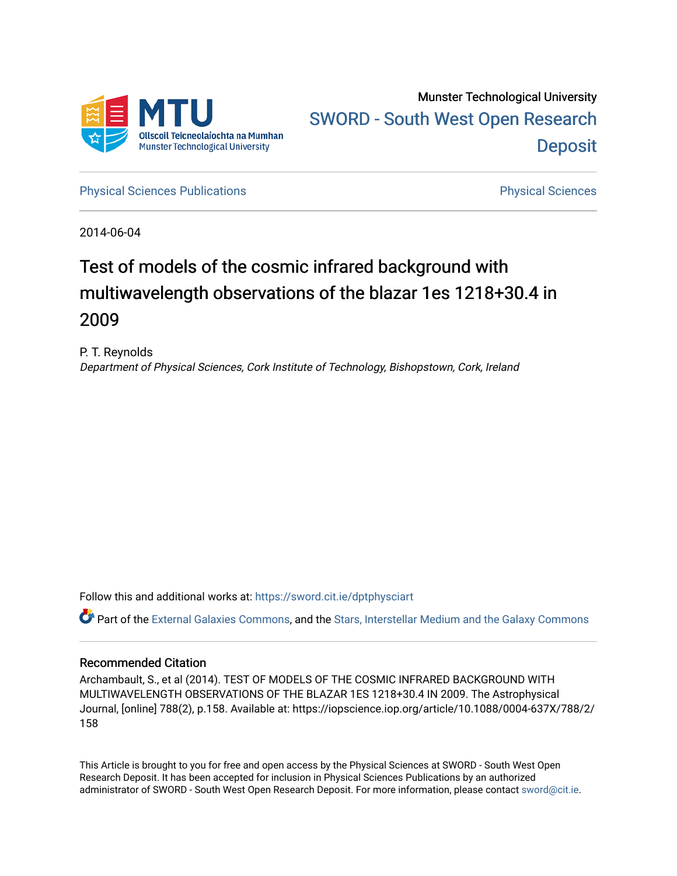

Munster Technological University [SWORD - South West Open Research](https://sword.cit.ie/)  **Deposit** 

[Physical Sciences Publications](https://sword.cit.ie/dptphysciart) **Physical Sciences** Physical Sciences

2014-06-04

# Test of models of the cosmic infrared background with multiwavelength observations of the blazar 1es 1218+30.4 in 2009

P. T. Reynolds Department of Physical Sciences, Cork Institute of Technology, Bishopstown, Cork, Ireland

Follow this and additional works at: [https://sword.cit.ie/dptphysciart](https://sword.cit.ie/dptphysciart?utm_source=sword.cit.ie%2Fdptphysciart%2F91&utm_medium=PDF&utm_campaign=PDFCoverPages)

Part of the [External Galaxies Commons](http://network.bepress.com/hgg/discipline/128?utm_source=sword.cit.ie%2Fdptphysciart%2F91&utm_medium=PDF&utm_campaign=PDFCoverPages), and the Stars, Interstellar Medium and the Galaxy Commons

# Recommended Citation

Archambault, S., et al (2014). TEST OF MODELS OF THE COSMIC INFRARED BACKGROUND WITH MULTIWAVELENGTH OBSERVATIONS OF THE BLAZAR 1ES 1218+30.4 IN 2009. The Astrophysical Journal, [online] 788(2), p.158. Available at: https://iopscience.iop.org/article/10.1088/0004-637X/788/2/ 158

This Article is brought to you for free and open access by the Physical Sciences at SWORD - South West Open Research Deposit. It has been accepted for inclusion in Physical Sciences Publications by an authorized administrator of SWORD - South West Open Research Deposit. For more information, please contact [sword@cit.ie.](mailto:sword@cit.ie)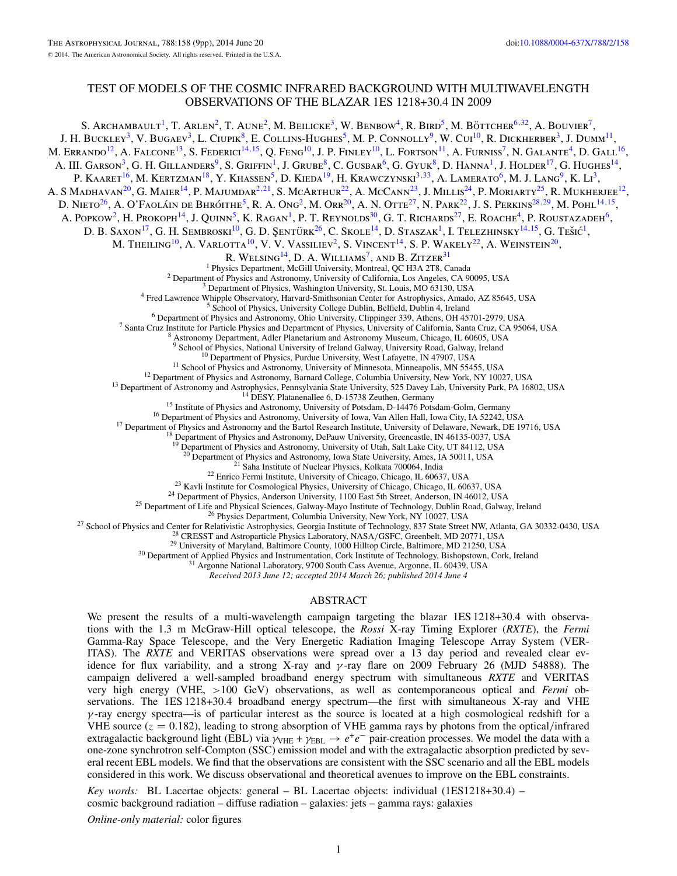## TEST OF MODELS OF THE COSMIC INFRARED BACKGROUND WITH MULTIWAVELENGTH OBSERVATIONS OF THE BLAZAR 1ES 1218+30.4 IN 2009

S. Archambault<sup>1</sup>, T. Arlen<sup>2</sup>, T. Aune<sup>2</sup>, M. Beilicke<sup>3</sup>, W. Benbow<sup>4</sup>, R. Bird<sup>5</sup>, M. Böttcher<sup>6,[32](#page-2-0)</sup>, A. Bouvier<sup>7</sup>, J. H. BUCKLEY<sup>3</sup>, V. BUGAEV<sup>3</sup>, L. CIUPIK<sup>8</sup>, E. COLLINS-HUGHES<sup>5</sup>, M. P. CONNOLLY<sup>9</sup>, W. CUI<sup>10</sup>, R. DICKHERBER<sup>3</sup>, J. DUMM<sup>11</sup>, M. ERRANDO<sup>12</sup>, A. FALCONE<sup>13</sup>, S. FEDERICI<sup>14, 15</sup>, Q. FENG<sup>10</sup>, J. P. FINLEY<sup>10</sup>, L. FORTSON<sup>11</sup>, A. FURNISS<sup>7</sup>, N. GALANTE<sup>4</sup>, D. GALL<sup>16</sup>, A. III. GARSON<sup>3</sup>, G. H. GILLANDERS<sup>9</sup>, S. GRIFFIN<sup>1</sup>, J. GRUBE<sup>8</sup>, C. GUSBAR<sup>6</sup>, G. GYUK<sup>8</sup>, D. HANNA<sup>1</sup>, J. HOLDER<sup>17</sup>, G. HUGHES<sup>14</sup>, P. KAARET<sup>16</sup>, M. KERTZMAN<sup>18</sup>, Y. KHASSEN<sup>5</sup>, D. KIEDA<sup>19</sup>, H. KRAWCZYNSKI<sup>3,[33](#page-2-0)</sup>, A. LAMERATO<sup>6</sup>, M. J. LANG<sup>9</sup>, K. Li<sup>3</sup>, A. S MADHAVAN<sup>20</sup>, G. MAIER<sup>14</sup>, P. MAJUMDAR<sup>2,21</sup>, S. MCARTHUR<sup>22</sup>, A. McCann<sup>23</sup>, J. Millis<sup>24</sup>, P. Moriarty<sup>25</sup>, R. Mukherjee<sup>12</sup>, D. NIETO<sup>26</sup>, A. O'FAOLÁIN DE BHRÓITHE<sup>5</sup>, R. A. Ong<sup>2</sup>, M. Orr2<sup>0</sup>, A. N. OTTE<sup>27</sup>, N. PARK<sup>22</sup>, J. S. PERKINS<sup>28,29</sup>, M. Pohl<sup>14,15</sup>, A. Popkow<sup>2</sup>, H. Prokoph<sup>14</sup>, J. Quinn<sup>5</sup>, K. Ragan<sup>1</sup>, P. T. Reynolds<sup>30</sup>, G. T. Richards<sup>27</sup>, E. Roache<sup>4</sup>, P. Roustazadeh<sup>6</sup>, D. B. SAXON<sup>17</sup>, G. H. SEMBROSKI<sup>10</sup>, G. D. ŞENTÜRK<sup>26</sup>, C. SKOLE<sup>14</sup>, D. STASZAK<sup>1</sup>, I. TELEZHINSKY<sup>14,15</sup>, G. TEŠIĆ<sup>1</sup>, M. THEILING<sup>10</sup>, A. VARLOTTA<sup>10</sup>, V. V. VASSILIEV<sup>2</sup>, S. VINCENT<sup>14</sup>, S. P. WAKELY<sup>22</sup>, A. WEINSTEIN<sup>20</sup>, R. WELSING<sup>14</sup>, D. A. WILLIAMS<sup>7</sup>, AND B. ZITZER<sup>31</sup><br><sup>1</sup> Physics Department, McGill University, Montreal, QC H3A 2T8, Canada <sup>2</sup> Department of Physics and Astronomy, University of California, Los Angeles, CA 90095, USA<br><sup>3</sup> Department of Physics, Washington University, St. Louis, MO 63130, USA<br><sup>4</sup> Fred Lawrence Whipple Observatory, Harvard-Smith <sup>10</sup> Department of Physics, Purdue University, West Lafayette, IN 47907, USA<br><sup>11</sup> School of Physics and Astronomy, University of Minnesota, Minneapolis, MN 55455, USA<br><sup>12</sup> Department of Physics and Astronomy, Barnard Coll <sup>19</sup> Department of Physics and Astronomy, University of Utah, Salt Lake City, UT 84112, USA<sup>20</sup> Department of Physics and Astronomy, Iowa State University, Ames, IA 50011, USA <sup>20</sup> Department of Physics and Astronomy, Iowa State University, Ames, IA 50011, USA<br><sup>21</sup> Saha Institute of Nuclear Physics, Kolkata 700064, India<br><sup>21</sup> Saha Institute Complisiter University of Chicago, Chicago, IL 60637,

*Received 2013 June 12; accepted 2014 March 26; published 2014 June 4*

#### ABSTRACT

We present the results of a multi-wavelength campaign targeting the blazar 1ES 1218+30.4 with observations with the 1.3 m McGraw-Hill optical telescope, the *Rossi* X-ray Timing Explorer (*RXTE*), the *Fermi* Gamma-Ray Space Telescope, and the Very Energetic Radiation Imaging Telescope Array System (VER-ITAS). The *RXTE* and VERITAS observations were spread over a 13 day period and revealed clear evidence for flux variability, and a strong X-ray and *γ* -ray flare on 2009 February 26 (MJD 54888). The campaign delivered a well-sampled broadband energy spectrum with simultaneous *RXTE* and VERITAS very high energy (VHE, *>*100 GeV) observations, as well as contemporaneous optical and *Fermi* observations. The 1ES 1218+30.4 broadband energy spectrum—the first with simultaneous X-ray and VHE *γ* -ray energy spectra—is of particular interest as the source is located at a high cosmological redshift for a VHE source  $(z = 0.182)$ , leading to strong absorption of VHE gamma rays by photons from the optical/infrared extragalactic background light (EBL) via  $\gamma_{\text{VHE}} + \gamma_{\text{EBL}} \rightarrow e^+e^-$  pair-creation processes. We model the data with a one-zone synchrotron self-Compton (SSC) emission model and with the extragalactic absorption predicted by several recent EBL models. We find that the observations are consistent with the SSC scenario and all the EBL models considered in this work. We discuss observational and theoretical avenues to improve on the EBL constraints.

*Key words:* BL Lacertae objects: general – BL Lacertae objects: individual (1ES1218+30.4) – cosmic background radiation – diffuse radiation – galaxies: jets – gamma rays: galaxies

*Online-only material:* color figures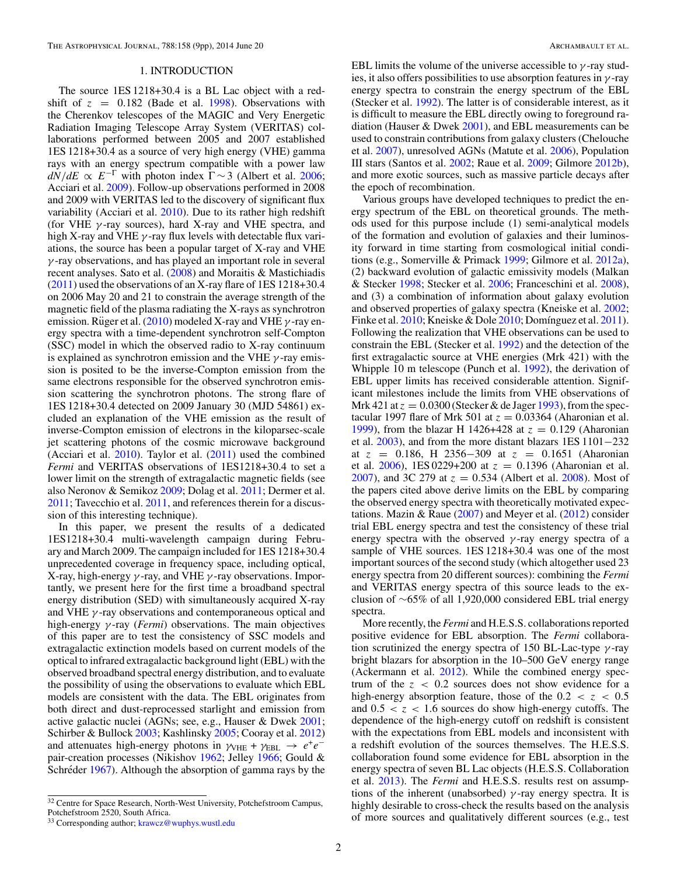#### 1. INTRODUCTION

<span id="page-2-0"></span>The source 1ES 1218+30.4 is a BL Lac object with a redshift of  $z = 0.182$  (Bade et al. [1998\)](#page-9-0). Observations with the Cherenkov telescopes of the MAGIC and Very Energetic Radiation Imaging Telescope Array System (VERITAS) collaborations performed between 2005 and 2007 established 1ES 1218+30.4 as a source of very high energy (VHE) gamma rays with an energy spectrum compatible with a power law  $dN/dE \propto E^{-\Gamma}$  with photon index  $\Gamma \sim 3$  (Albert et al. [2006;](#page-9-0) Acciari et al. [2009\)](#page-9-0). Follow-up observations performed in 2008 and 2009 with VERITAS led to the discovery of significant flux variability (Acciari et al. [2010\)](#page-9-0). Due to its rather high redshift (for VHE *γ* -ray sources), hard X-ray and VHE spectra, and high X-ray and VHE *γ* -ray flux levels with detectable flux variations, the source has been a popular target of X-ray and VHE *γ* -ray observations, and has played an important role in several recent analyses. Sato et al. [\(2008\)](#page-9-0) and Moraitis & Mastichiadis [\(2011\)](#page-9-0) used the observations of an X-ray flare of 1ES 1218+30.4 on 2006 May 20 and 21 to constrain the average strength of the magnetic field of the plasma radiating the X-rays as synchrotron emission. Rüger et al.  $(2010)$  $(2010)$  modeled X-ray and VHE  $\gamma$ -ray energy spectra with a time-dependent synchrotron self-Compton (SSC) model in which the observed radio to X-ray continuum is explained as synchrotron emission and the VHE *γ* -ray emission is posited to be the inverse-Compton emission from the same electrons responsible for the observed synchrotron emission scattering the synchrotron photons. The strong flare of 1ES 1218+30.4 detected on 2009 January 30 (MJD 54861) excluded an explanation of the VHE emission as the result of inverse-Compton emission of electrons in the kiloparsec-scale jet scattering photons of the cosmic microwave background (Acciari et al.  $2010$ ). Taylor et al.  $(2011)$  used the combined *Fermi* and VERITAS observations of 1ES1218+30.4 to set a lower limit on the strength of extragalactic magnetic fields (see also Neronov & Semikoz [2009;](#page-9-0) Dolag et al. [2011;](#page-9-0) Dermer et al. [2011;](#page-9-0) Tavecchio et al. [2011,](#page-9-0) and references therein for a discussion of this interesting technique).

In this paper, we present the results of a dedicated 1ES1218+30.4 multi-wavelength campaign during February and March 2009. The campaign included for 1ES 1218+30.4 unprecedented coverage in frequency space, including optical, X-ray, high-energy *γ* -ray, and VHE *γ* -ray observations. Importantly, we present here for the first time a broadband spectral energy distribution (SED) with simultaneously acquired X-ray and VHE *γ* -ray observations and contemporaneous optical and high-energy *γ* -ray (*Fermi*) observations. The main objectives of this paper are to test the consistency of SSC models and extragalactic extinction models based on current models of the optical to infrared extragalactic background light (EBL) with the observed broadband spectral energy distribution, and to evaluate the possibility of using the observations to evaluate which EBL models are consistent with the data. The EBL originates from both direct and dust-reprocessed starlight and emission from active galactic nuclei (AGNs; see, e.g., Hauser & Dwek [2001;](#page-9-0) Schirber & Bullock [2003;](#page-9-0) Kashlinsky [2005;](#page-9-0) Cooray et al. [2012\)](#page-9-0) and attenuates high-energy photons in  $\gamma_{\text{VHE}} + \gamma_{\text{EBL}} \rightarrow e^+e^$ pair-creation processes (Nikishov [1962;](#page-9-0) Jelley [1966;](#page-9-0) Gould & Schréder [1967\)](#page-9-0). Although the absorption of gamma rays by the

EBL limits the volume of the universe accessible to  $\gamma$ -ray studies, it also offers possibilities to use absorption features in *γ* -ray energy spectra to constrain the energy spectrum of the EBL (Stecker et al. [1992\)](#page-9-0). The latter is of considerable interest, as it is difficult to measure the EBL directly owing to foreground radiation (Hauser & Dwek [2001\)](#page-9-0), and EBL measurements can be used to constrain contributions from galaxy clusters (Chelouche et al. [2007\)](#page-9-0), unresolved AGNs (Matute et al. [2006\)](#page-9-0), Population III stars (Santos et al. [2002;](#page-9-0) Raue et al. [2009;](#page-9-0) Gilmore [2012b\)](#page-9-0), and more exotic sources, such as massive particle decays after the epoch of recombination.

Various groups have developed techniques to predict the energy spectrum of the EBL on theoretical grounds. The methods used for this purpose include (1) semi-analytical models of the formation and evolution of galaxies and their luminosity forward in time starting from cosmological initial conditions (e.g., Somerville & Primack [1999;](#page-9-0) Gilmore et al. [2012a\)](#page-9-0), (2) backward evolution of galactic emissivity models (Malkan & Stecker [1998;](#page-9-0) Stecker et al. [2006;](#page-9-0) Franceschini et al. [2008\)](#page-9-0), and (3) a combination of information about galaxy evolution and observed properties of galaxy spectra (Kneiske et al. [2002;](#page-9-0) Finke et al. [2010;](#page-9-0) Kneiske & Dole 2010; Domínguez et al. [2011\)](#page-9-0). Following the realization that VHE observations can be used to constrain the EBL (Stecker et al. [1992\)](#page-9-0) and the detection of the first extragalactic source at VHE energies (Mrk 421) with the Whipple 10 m telescope (Punch et al. [1992\)](#page-9-0), the derivation of EBL upper limits has received considerable attention. Significant milestones include the limits from VHE observations of Mrk 421 at  $z = 0.0300$  (Stecker & de Jager [1993\)](#page-9-0), from the spectacular 1997 flare of Mrk 501 at  $z = 0.03364$  (Aharonian et al. [1999\)](#page-9-0), from the blazar H 1426+428 at  $z = 0.129$  (Aharonian et al. [2003\)](#page-9-0), and from the more distant blazars 1ES 1101−232 at *z* = 0*.*186, H 2356−309 at *z* = 0*.*1651 (Aharonian et al.  $2006$ ), 1ES 0229+200 at  $z = 0.1396$  (Aharonian et al. [2007\)](#page-9-0), and 3C 279 at *z* = 0*.*534 (Albert et al. [2008\)](#page-9-0). Most of the papers cited above derive limits on the EBL by comparing the observed energy spectra with theoretically motivated expectations. Mazin & Raue [\(2007\)](#page-9-0) and Meyer et al. [\(2012\)](#page-9-0) consider trial EBL energy spectra and test the consistency of these trial energy spectra with the observed  $\gamma$ -ray energy spectra of a sample of VHE sources. 1ES 1218+30.4 was one of the most important sources of the second study (which altogether used 23 energy spectra from 20 different sources): combining the *Fermi* and VERITAS energy spectra of this source leads to the exclusion of ∼65% of all 1,920,000 considered EBL trial energy spectra.

More recently, the *Fermi* and H.E.S.S. collaborations reported positive evidence for EBL absorption. The *Fermi* collaboration scrutinized the energy spectra of 150 BL-Lac-type *γ* -ray bright blazars for absorption in the 10–500 GeV energy range (Ackermann et al. [2012\)](#page-9-0). While the combined energy spectrum of the *z <* 0*.*2 sources does not show evidence for a high-energy absorption feature, those of the  $0.2 < z < 0.5$ and  $0.5 < z < 1.6$  sources do show high-energy cutoffs. The dependence of the high-energy cutoff on redshift is consistent with the expectations from EBL models and inconsistent with a redshift evolution of the sources themselves. The H.E.S.S. collaboration found some evidence for EBL absorption in the energy spectra of seven BL Lac objects (H.E.S.S. Collaboration et al. [2013\)](#page-9-0). The *Fermi* and H.E.S.S. results rest on assumptions of the inherent (unabsorbed) *γ* -ray energy spectra. It is highly desirable to cross-check the results based on the analysis of more sources and qualitatively different sources (e.g., test

<sup>&</sup>lt;sup>32</sup> Centre for Space Research, North-West University, Potchefstroom Campus, Potchefstroom 2520, South Africa.

<sup>33</sup> Corresponding author; [krawcz@wuphys.wustl.edu](mailto:krawcz@wuphys.wustl.edu)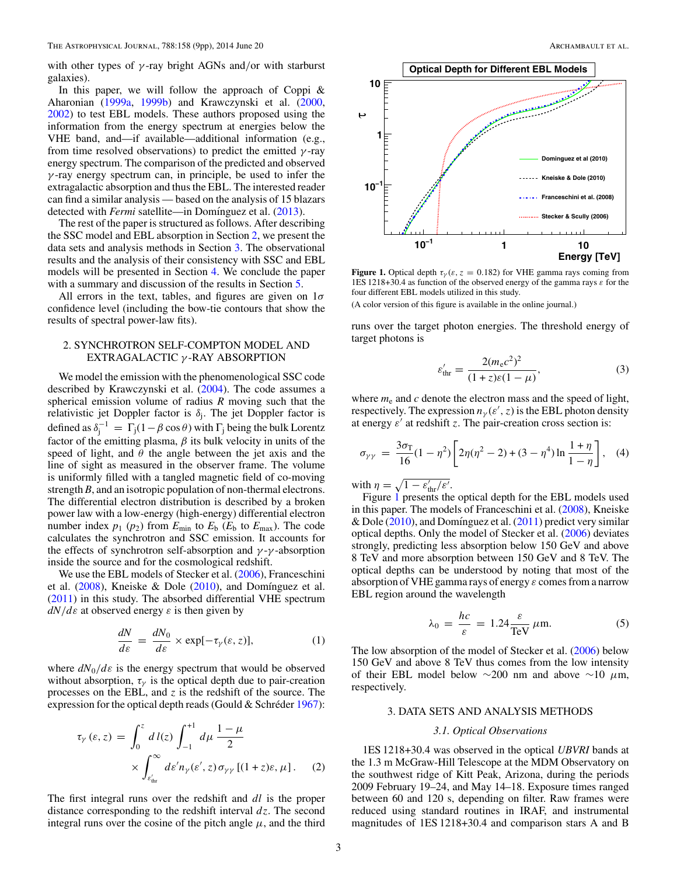with other types of *γ* -ray bright AGNs and*/*or with starburst galaxies).

In this paper, we will follow the approach of Coppi  $\&$ Aharonian [\(1999a,](#page-9-0) [1999b\)](#page-9-0) and Krawczynski et al. [\(2000,](#page-9-0) [2002\)](#page-9-0) to test EBL models. These authors proposed using the information from the energy spectrum at energies below the VHE band, and—if available—additional information (e.g., from time resolved observations) to predict the emitted *γ* -ray energy spectrum. The comparison of the predicted and observed *γ* -ray energy spectrum can, in principle, be used to infer the extragalactic absorption and thus the EBL. The interested reader can find a similar analysis — based on the analysis of 15 blazars detected with *Fermi* satellite—in Domínguez et al. [\(2013\)](#page-9-0).

The rest of the paper is structured as follows. After describing the SSC model and EBL absorption in Section 2, we present the data sets and analysis methods in Section 3. The observational results and the analysis of their consistency with SSC and EBL models will be presented in Section [4.](#page-4-0) We conclude the paper with a summary and discussion of the results in Section [5.](#page-8-0)

All errors in the text, tables, and figures are given on 1*σ* confidence level (including the bow-tie contours that show the results of spectral power-law fits).

## 2. SYNCHROTRON SELF-COMPTON MODEL AND EXTRAGALACTIC *γ* -RAY ABSORPTION

We model the emission with the phenomenological SSC code described by Krawczynski et al. [\(2004\)](#page-9-0). The code assumes a spherical emission volume of radius *R* moving such that the relativistic jet Doppler factor is *δ*j. The jet Doppler factor is defined as  $\delta_j^{-1} = \Gamma_j (1 - \beta \cos \theta)$  with  $\Gamma_j$  being the bulk Lorentz factor of the emitting plasma,  $\beta$  its bulk velocity in units of the speed of light, and  $\theta$  the angle between the jet axis and the line of sight as measured in the observer frame. The volume is uniformly filled with a tangled magnetic field of co-moving strength *B*, and an isotropic population of non-thermal electrons. The differential electron distribution is described by a broken power law with a low-energy (high-energy) differential electron number index  $p_1$  ( $p_2$ ) from  $E_{\text{min}}$  to  $E_{\text{b}}$  ( $E_{\text{b}}$  to  $E_{\text{max}}$ ). The code calculates the synchrotron and SSC emission. It accounts for the effects of synchrotron self-absorption and *γ* -*γ* -absorption inside the source and for the cosmological redshift.

We use the EBL models of Stecker et al. [\(2006\)](#page-9-0), Franceschini et al.  $(2008)$ , Kneiske & Dole  $(2010)$ , and Domínguez et al. [\(2011\)](#page-9-0) in this study. The absorbed differential VHE spectrum *dN/dε* at observed energy *ε* is then given by

$$
\frac{dN}{d\varepsilon} = \frac{dN_0}{d\varepsilon} \times \exp[-\tau_\gamma(\varepsilon, z)],\tag{1}
$$

where  $dN_0/d\varepsilon$  is the energy spectrum that would be observed without absorption,  $\tau_{\gamma}$  is the optical depth due to pair-creation processes on the EBL, and *z* is the redshift of the source. The expression for the optical depth reads (Gould & Schréder  $1967$ ):

$$
\tau_{\gamma}(\varepsilon, z) = \int_0^z d\,l(z) \int_{-1}^{+1} d\mu \frac{1-\mu}{2} \times \int_{\varepsilon_{\text{thr}}'}^{\infty} d\varepsilon' n_{\gamma}(\varepsilon', z) \sigma_{\gamma\gamma} [(1+z)\varepsilon, \mu]. \tag{2}
$$

The first integral runs over the redshift and *dl* is the proper distance corresponding to the redshift interval *dz*. The second integral runs over the cosine of the pitch angle  $\mu$ , and the third



**Figure 1.** Optical depth  $\tau_y(\varepsilon, z = 0.182)$  for VHE gamma rays coming from 1ES 1218+30.4 as function of the observed energy of the gamma rays *ε* for the four different EBL models utilized in this study.

(A color version of this figure is available in the online journal.)

runs over the target photon energies. The threshold energy of target photons is

$$
\varepsilon'_{\text{thr}} = \frac{2(m_{\text{e}}c^2)^2}{(1+z)\varepsilon(1-\mu)},
$$
\n(3)

where  $m_e$  and  $c$  denote the electron mass and the speed of light, respectively. The expression  $n_{\gamma}(\varepsilon', z)$  is the EBL photon density at energy  $\varepsilon'$  at redshift *z*. The pair-creation cross section is:

$$
\sigma_{\gamma\gamma} = \frac{3\sigma_{\rm T}}{16}(1-\eta^2)\left[2\eta(\eta^2-2)+(3-\eta^4)\ln\frac{1+\eta}{1-\eta}\right], \quad (4)
$$

with  $\eta = \sqrt{1 - \varepsilon_{\text{thr}}'/\varepsilon'}.$ 

Figure 1 presents the optical depth for the EBL models used in this paper. The models of Franceschini et al. [\(2008\)](#page-9-0), Kneiske & Dole  $(2010)$ , and Domínguez et al.  $(2011)$  predict very similar optical depths. Only the model of Stecker et al. [\(2006\)](#page-9-0) deviates strongly, predicting less absorption below 150 GeV and above 8 TeV and more absorption between 150 GeV and 8 TeV. The optical depths can be understood by noting that most of the absorption of VHE gamma rays of energy *ε* comes from a narrow EBL region around the wavelength

$$
\lambda_0 = \frac{hc}{\varepsilon} = 1.24 \frac{\varepsilon}{\text{TeV}} \,\mu\text{m}.\tag{5}
$$

The low absorption of the model of Stecker et al. [\(2006\)](#page-9-0) below 150 GeV and above 8 TeV thus comes from the low intensity of their EBL model below ∼200 nm and above ∼10 *μ*m, respectively.

## 3. DATA SETS AND ANALYSIS METHODS

## *3.1. Optical Observations*

1ES 1218+30.4 was observed in the optical *UBVRI* bands at the 1.3 m McGraw-Hill Telescope at the MDM Observatory on the southwest ridge of Kitt Peak, Arizona, during the periods 2009 February 19–24, and May 14–18. Exposure times ranged between 60 and 120 s, depending on filter. Raw frames were reduced using standard routines in IRAF, and instrumental magnitudes of 1ES 1218+30.4 and comparison stars A and B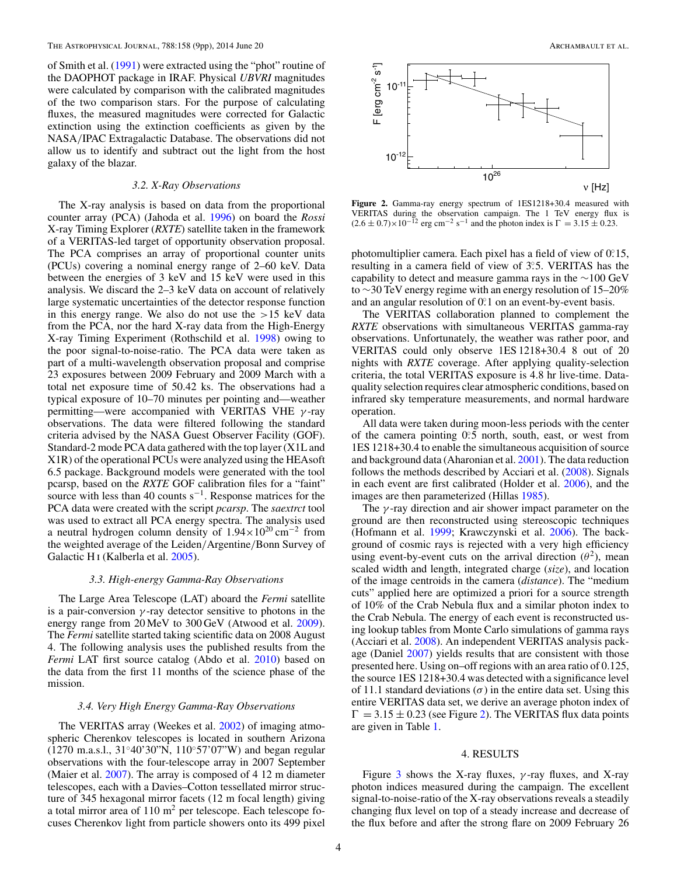<span id="page-4-0"></span>of Smith et al. [\(1991\)](#page-9-0) were extracted using the "phot" routine of the DAOPHOT package in IRAF. Physical *UBVRI* magnitudes were calculated by comparison with the calibrated magnitudes of the two comparison stars. For the purpose of calculating fluxes, the measured magnitudes were corrected for Galactic extinction using the extinction coefficients as given by the NASA*/*IPAC Extragalactic Database. The observations did not allow us to identify and subtract out the light from the host galaxy of the blazar.

#### *3.2. X-Ray Observations*

The X-ray analysis is based on data from the proportional counter array (PCA) (Jahoda et al. [1996\)](#page-9-0) on board the *Rossi* X-ray Timing Explorer (*RXTE*) satellite taken in the framework of a VERITAS-led target of opportunity observation proposal. The PCA comprises an array of proportional counter units (PCUs) covering a nominal energy range of 2–60 keV. Data between the energies of 3 keV and 15 keV were used in this analysis. We discard the 2–3 keV data on account of relatively large systematic uncertainties of the detector response function in this energy range. We also do not use the *>*15 keV data from the PCA, nor the hard X-ray data from the High-Energy X-ray Timing Experiment (Rothschild et al. [1998\)](#page-9-0) owing to the poor signal-to-noise-ratio. The PCA data were taken as part of a multi-wavelength observation proposal and comprise 23 exposures between 2009 February and 2009 March with a total net exposure time of 50.42 ks. The observations had a typical exposure of 10–70 minutes per pointing and—weather permitting—were accompanied with VERITAS VHE *γ* -ray observations. The data were filtered following the standard criteria advised by the NASA Guest Observer Facility (GOF). Standard-2 mode PCA data gathered with the top layer (X1L and X1R) of the operational PCUs were analyzed using the HEAsoft 6.5 package. Background models were generated with the tool pcarsp, based on the *RXTE* GOF calibration files for a "faint" source with less than 40 counts  $s^{-1}$ . Response matrices for the PCA data were created with the script *pcarsp*. The *saextrct* tool was used to extract all PCA energy spectra. The analysis used a neutral hydrogen column density of  $1.94 \times 10^{20}$  cm<sup>-2</sup> from the weighted average of the Leiden*/*Argentine*/*Bonn Survey of Galactic H<sub>I</sub> (Kalberla et al. [2005\)](#page-9-0).

#### *3.3. High-energy Gamma-Ray Observations*

The Large Area Telescope (LAT) aboard the *Fermi* satellite is a pair-conversion  $\gamma$ -ray detector sensitive to photons in the energy range from 20 MeV to 300 GeV (Atwood et al. [2009\)](#page-9-0). The *Fermi* satellite started taking scientific data on 2008 August 4. The following analysis uses the published results from the *Fermi* LAT first source catalog (Abdo et al. [2010\)](#page-9-0) based on the data from the first 11 months of the science phase of the mission.

### *3.4. Very High Energy Gamma-Ray Observations*

The VERITAS array (Weekes et al. [2002\)](#page-9-0) of imaging atmospheric Cherenkov telescopes is located in southern Arizona (1270 m.a.s.l., 31◦40'30"N, 110◦57'07"W) and began regular observations with the four-telescope array in 2007 September (Maier et al. [2007\)](#page-9-0). The array is composed of 4 12 m diameter telescopes, each with a Davies–Cotton tessellated mirror structure of 345 hexagonal mirror facets (12 m focal length) giving a total mirror area of  $110 \text{ m}^2$  per telescope. Each telescope focuses Cherenkov light from particle showers onto its 499 pixel



**Figure 2.** Gamma-ray energy spectrum of 1ES1218+30.4 measured with VERITAS during the observation campaign. The 1 TeV energy flux is  $(2.6 \pm 0.7) \times 10^{-12}$  erg cm<sup>-2</sup> s<sup>-1</sup> and the photon index is  $\Gamma = 3.15 \pm 0.23$ .

photomultiplier camera. Each pixel has a field of view of 0.15, resulting in a camera field of view of 3°<sub>2</sub>5. VERITAS has the capability to detect and measure gamma rays in the ∼100 GeV to ∼30 TeV energy regime with an energy resolution of 15–20% and an angular resolution of 0.<sup>2</sup> on an event-by-event basis.

The VERITAS collaboration planned to complement the *RXTE* observations with simultaneous VERITAS gamma-ray observations. Unfortunately, the weather was rather poor, and VERITAS could only observe 1ES 1218+30.4 8 out of 20 nights with *RXTE* coverage. After applying quality-selection criteria, the total VERITAS exposure is 4.8 hr live-time. Dataquality selection requires clear atmospheric conditions, based on infrared sky temperature measurements, and normal hardware operation.

All data were taken during moon-less periods with the center of the camera pointing 0.5 north, south, east, or west from 1ES 1218+30.4 to enable the simultaneous acquisition of source and background data (Aharonian et al. [2001\)](#page-9-0). The data reduction follows the methods described by Acciari et al. [\(2008\)](#page-9-0). Signals in each event are first calibrated (Holder et al. [2006\)](#page-9-0), and the images are then parameterized (Hillas [1985\)](#page-9-0).

The *γ* -ray direction and air shower impact parameter on the ground are then reconstructed using stereoscopic techniques (Hofmann et al. [1999;](#page-9-0) Krawczynski et al. [2006\)](#page-9-0). The background of cosmic rays is rejected with a very high efficiency using event-by-event cuts on the arrival direction  $(\theta^2)$ , mean scaled width and length, integrated charge (*size*), and location of the image centroids in the camera (*distance*). The "medium cuts" applied here are optimized a priori for a source strength of 10% of the Crab Nebula flux and a similar photon index to the Crab Nebula. The energy of each event is reconstructed using lookup tables from Monte Carlo simulations of gamma rays (Acciari et al. [2008\)](#page-9-0). An independent VERITAS analysis package (Daniel [2007\)](#page-9-0) yields results that are consistent with those presented here. Using on–off regions with an area ratio of 0.125, the source 1ES 1218+30.4 was detected with a significance level of 11.1 standard deviations  $(\sigma)$  in the entire data set. Using this entire VERITAS data set, we derive an average photon index of  $\Gamma = 3.15 \pm 0.23$  (see Figure 2). The VERITAS flux data points are given in Table [1.](#page-5-0)

#### 4. RESULTS

Figure [3](#page-5-0) shows the X-ray fluxes, *γ* -ray fluxes, and X-ray photon indices measured during the campaign. The excellent signal-to-noise-ratio of the X-ray observations reveals a steadily changing flux level on top of a steady increase and decrease of the flux before and after the strong flare on 2009 February 26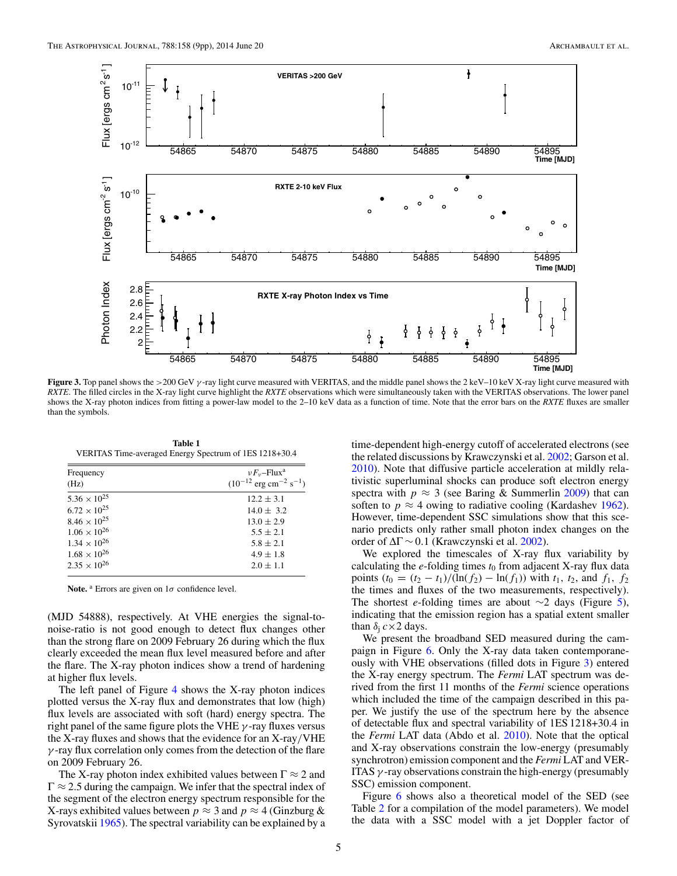<span id="page-5-0"></span>

**Figure 3.** Top panel shows the *>*200 GeV *γ* -ray light curve measured with VERITAS, and the middle panel shows the 2 keV–10 keV X-ray light curve measured with *RXTE*. The filled circles in the X-ray light curve highlight the *RXTE* observations which were simultaneously taken with the VERITAS observations. The lower panel shows the X-ray photon indices from fitting a power-law model to the 2–10 keV data as a function of time. Note that the error bars on the *RXTE* fluxes are smaller than the symbols.

**Table 1** VERITAS Time-averaged Energy Spectrum of 1ES 1218+30.4

| Frequency<br>(Hz)     | $\nu F_{\nu}$ -Flux <sup>a</sup><br>$(10^{-12} \text{ erg cm}^{-2} \text{ s}^{-1})$ |  |  |  |
|-----------------------|-------------------------------------------------------------------------------------|--|--|--|
| $5.36 \times 10^{25}$ | $12.2 \pm 3.1$                                                                      |  |  |  |
| $6.72 \times 10^{25}$ | $14.0 \pm 3.2$                                                                      |  |  |  |
| $8.46 \times 10^{25}$ | $13.0 \pm 2.9$                                                                      |  |  |  |
| $1.06 \times 10^{26}$ | $5.5 \pm 2.1$                                                                       |  |  |  |
| $1.34 \times 10^{26}$ | $5.8 + 2.1$                                                                         |  |  |  |
| $1.68 \times 10^{26}$ | $4.9 \pm 1.8$                                                                       |  |  |  |
| $2.35 \times 10^{26}$ | $2.0 \pm 1.1$                                                                       |  |  |  |
|                       |                                                                                     |  |  |  |

Note.<sup>a</sup> Errors are given on  $1\sigma$  confidence level.

(MJD 54888), respectively. At VHE energies the signal-tonoise-ratio is not good enough to detect flux changes other than the strong flare on 2009 February 26 during which the flux clearly exceeded the mean flux level measured before and after the flare. The X-ray photon indices show a trend of hardening at higher flux levels.

The left panel of Figure  $4$  shows the X-ray photon indices plotted versus the X-ray flux and demonstrates that low (high) flux levels are associated with soft (hard) energy spectra. The right panel of the same figure plots the VHE *γ* -ray fluxes versus the X-ray fluxes and shows that the evidence for an X-ray*/*VHE *γ* -ray flux correlation only comes from the detection of the flare on 2009 February 26.

The X-ray photon index exhibited values between  $\Gamma \approx 2$  and  $\Gamma \approx 2.5$  during the campaign. We infer that the spectral index of the segment of the electron energy spectrum responsible for the X-rays exhibited values between  $p \approx 3$  and  $p \approx 4$  (Ginzburg & Syrovatskii [1965\)](#page-9-0). The spectral variability can be explained by a

time-dependent high-energy cutoff of accelerated electrons (see the related discussions by Krawczynski et al. [2002;](#page-9-0) Garson et al. [2010\)](#page-9-0). Note that diffusive particle acceleration at mildly relativistic superluminal shocks can produce soft electron energy spectra with  $p \approx 3$  (see Baring & Summerlin [2009\)](#page-9-0) that can soften to  $p \approx 4$  owing to radiative cooling (Kardashev [1962\)](#page-9-0). However, time-dependent SSC simulations show that this scenario predicts only rather small photon index changes on the order of ΔΓ ∼ 0*.*1 (Krawczynski et al. [2002\)](#page-9-0).

We explored the timescales of X-ray flux variability by calculating the  $e$ -folding times  $t_0$  from adjacent X-ray flux data points  $(t_0 = (t_2 - t_1)/(ln(f_2) - ln(f_1))$  with  $t_1$ ,  $t_2$ , and  $f_1$ ,  $f_2$ the times and fluxes of the two measurements, respectively). The shortest *e*-folding times are about ∼2 days (Figure [5\)](#page-6-0), indicating that the emission region has a spatial extent smaller than  $\delta_i c \times 2$  days.

We present the broadband SED measured during the campaign in Figure [6.](#page-6-0) Only the X-ray data taken contemporaneously with VHE observations (filled dots in Figure 3) entered the X-ray energy spectrum. The *Fermi* LAT spectrum was derived from the first 11 months of the *Fermi* science operations which included the time of the campaign described in this paper. We justify the use of the spectrum here by the absence of detectable flux and spectral variability of 1ES 1218+30.4 in the *Fermi* LAT data (Abdo et al. [2010\)](#page-9-0). Note that the optical and X-ray observations constrain the low-energy (presumably synchrotron) emission component and the *Fermi* LAT and VER-ITAS *γ* -ray observations constrain the high-energy (presumably SSC) emission component.

Figure [6](#page-6-0) shows also a theoretical model of the SED (see Table [2](#page-6-0) for a compilation of the model parameters). We model the data with a SSC model with a jet Doppler factor of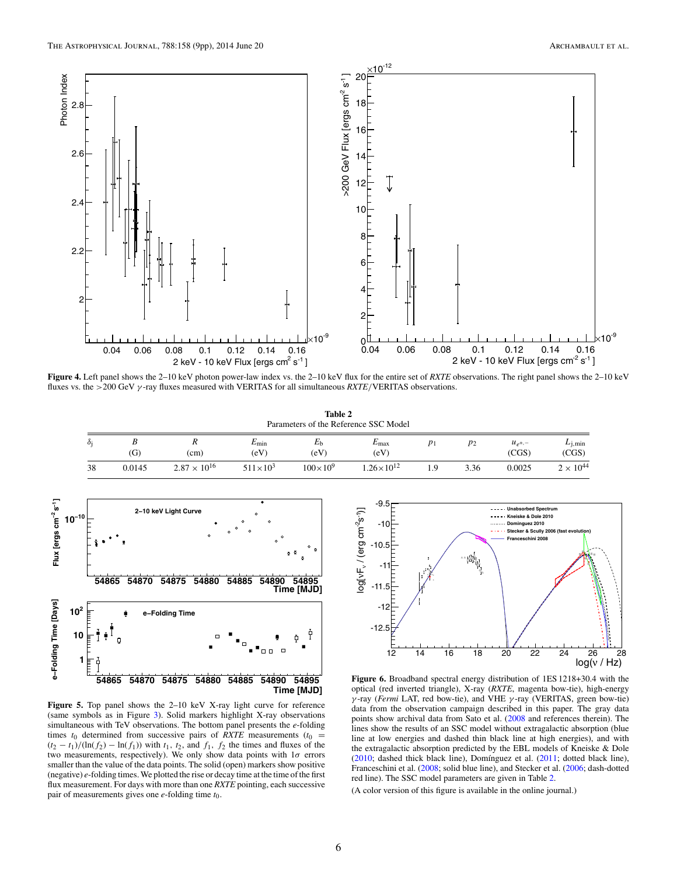<span id="page-6-0"></span>

**Figure 4.** Left panel shows the 2–10 keV photon power-law index vs. the 2–10 keV flux for the entire set of *RXTE* observations. The right panel shows the 2–10 keV fluxes vs. the *>*200 GeV *γ* -ray fluxes measured with VERITAS for all simultaneous *RXTE/*VERITAS observations.

**Table 2** Parameters of the Reference SSC Model

| $\sim$<br>Òi | (G)    | "<br>(cm)             | $E_{\rm min}$<br>(eV) | $E_{b}$<br>(eV)   | $E_{\rm max}$<br>(eV) |     | $p_2$ | $u_{e^+,-}$<br>(CGS) | $L_{1, min}$<br>(CGS) |
|--------------|--------|-----------------------|-----------------------|-------------------|-----------------------|-----|-------|----------------------|-----------------------|
| 38           | 0.0145 | $2.87 \times 10^{16}$ | $511 \times 10^3$     | $100\times10^{9}$ | $1.26 \times 10^{12}$ | . Q | 3.36  | 0.0025               | $2 \times 10^{44}$    |



**Figure 5.** Top panel shows the 2–10 keV X-ray light curve for reference (same symbols as in Figure [3\)](#page-5-0). Solid markers highlight X-ray observations simultaneous with TeV observations. The bottom panel presents the *e*-folding times  $t_0$  determined from successive pairs of *RXTE* measurements ( $t_0$  =  $(t_2 - t_1)/(ln(f_2) - ln(f_1))$  with  $t_1$ ,  $t_2$ , and  $f_1$ ,  $f_2$  the times and fluxes of the two measurements, respectively). We only show data points with 1*σ* errors smaller than the value of the data points. The solid (open) markers show positive (negative) *e*-folding times. We plotted the rise or decay time at the time of the first flux measurement. For days with more than one *RXTE* pointing, each successive pair of measurements gives one *e*-folding time *t*0.



**Figure 6.** Broadband spectral energy distribution of 1ES 1218+30.4 with the optical (red inverted triangle), X-ray (*RXTE*, magenta bow-tie), high-energy *γ* -ray (*Fermi* LAT, red bow-tie), and VHE *γ* -ray (VERITAS, green bow-tie) data from the observation campaign described in this paper. The gray data points show archival data from Sato et al. [\(2008](#page-9-0) and references therein). The lines show the results of an SSC model without extragalactic absorption (blue line at low energies and dashed thin black line at high energies), and with the extragalactic absorption predicted by the EBL models of Kneiske & Dole  $(2010;$  dashed thick black line), Domínguez et al.  $(2011;$  dotted black line), Franceschini et al. [\(2008;](#page-9-0) solid blue line), and Stecker et al. [\(2006;](#page-9-0) dash-dotted red line). The SSC model parameters are given in Table 2.

(A color version of this figure is available in the online journal.)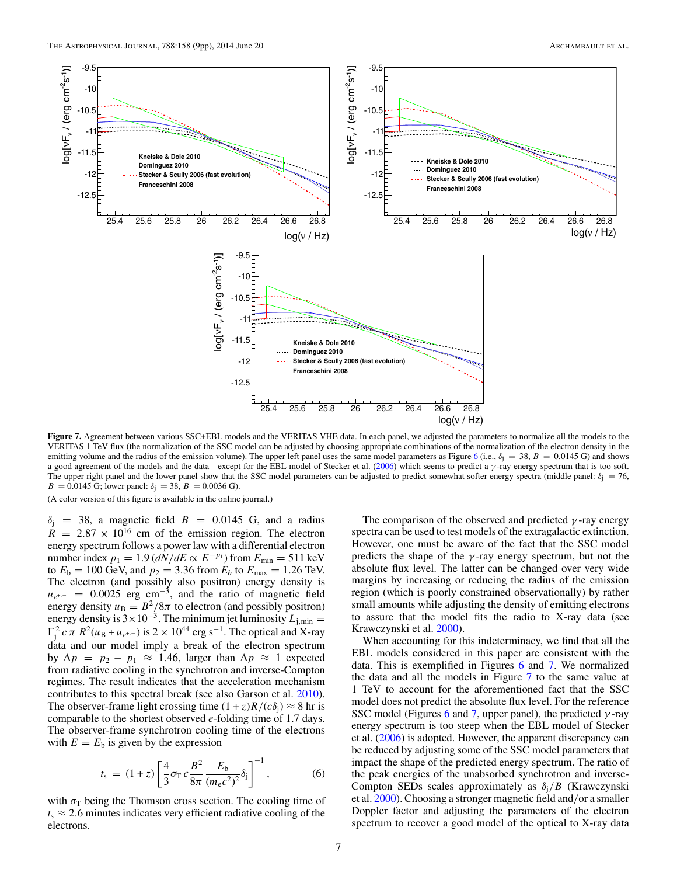<span id="page-7-0"></span>

Figure 7. Agreement between various SSC+EBL models and the VERITAS VHE data. In each panel, we adjusted the parameters to normalize all the models to the VERITAS 1 TeV flux (the normalization of the SSC model can be adjusted by choosing appropriate combinations of the normalization of the electron density in the emitting volume and the radius of the emission volume). The upper left panel uses the same model parameters as Figure [6](#page-6-0) (i.e.,  $\delta_j = 38$ ,  $B = 0.0145$  G) and shows a good agreement of the models and the data—except for the EBL model of Stecker et al. [\(2006\)](#page-9-0) which seems to predict a *γ* -ray energy spectrum that is too soft. The upper right panel and the lower panel show that the SSC model parameters can be adjusted to predict somewhat softer energy spectra (middle panel:  $\delta_i = 76$ , *B* = 0.0145 G; lower panel:  $\delta_j$  = 38, *B* = 0.0036 G).

(A color version of this figure is available in the online journal.)

 $\delta$ <sub>j</sub> = 38, a magnetic field *B* = 0.0145 G, and a radius  $R = 2.87 \times 10^{16}$  cm of the emission region. The electron energy spectrum follows a power law with a differential electron number index  $p_1 = 1.9$  ( $dN/dE \propto E^{-p_1}$ ) from  $E_{min} = 511$  keV to  $E_b = 100 \text{ GeV}$ , and  $p_2 = 3.36 \text{ from } E_b$  to  $E_{\text{max}} = 1.26 \text{ TeV}$ . The electron (and possibly also positron) energy density is  $u_{e^{+,-}} = 0.0025$  erg cm<sup>-3</sup>, and the ratio of magnetic field energy density  $u_B = B^2/8\pi$  to electron (and possibly positron) energy density is  $3 \times 10^{-3}$ . The minimum jet luminosity  $L_{j,min} =$  $\Gamma_j^2 c \pi R^2(u_B + u_{e^{+,-}})$  is  $2 \times 10^{44}$  erg s<sup>-1</sup>. The optical and X-ray data and our model imply a break of the electron spectrum by Δ*p* = *p*<sup>2</sup> − *p*<sup>1</sup> ≈ 1*.*46, larger than Δ*p* ≈ 1 expected from radiative cooling in the synchrotron and inverse-Compton regimes. The result indicates that the acceleration mechanism contributes to this spectral break (see also Garson et al. [2010\)](#page-9-0). The observer-frame light crossing time  $(1 + z)R/(c\delta_i) \approx 8$  hr is comparable to the shortest observed *e*-folding time of 1.7 days. The observer-frame synchrotron cooling time of the electrons with  $E = E<sub>b</sub>$  is given by the expression

$$
t_{\rm s} = (1+z) \left[ \frac{4}{3} \sigma_{\rm T} c \frac{B^2}{8\pi} \frac{E_{\rm b}}{(m_{\rm e} c^2)^2} \delta_{\rm j} \right]^{-1}, \tag{6}
$$

with  $\sigma_T$  being the Thomson cross section. The cooling time of  $t_s \approx 2.6$  minutes indicates very efficient radiative cooling of the electrons.

The comparison of the observed and predicted *γ* -ray energy spectra can be used to test models of the extragalactic extinction. However, one must be aware of the fact that the SSC model predicts the shape of the *γ* -ray energy spectrum, but not the absolute flux level. The latter can be changed over very wide margins by increasing or reducing the radius of the emission region (which is poorly constrained observationally) by rather small amounts while adjusting the density of emitting electrons to assure that the model fits the radio to X-ray data (see Krawczynski et al. [2000\)](#page-9-0).

When accounting for this indeterminacy, we find that all the EBL models considered in this paper are consistent with the data. This is exemplified in Figures [6](#page-6-0) and 7. We normalized the data and all the models in Figure 7 to the same value at 1 TeV to account for the aforementioned fact that the SSC model does not predict the absolute flux level. For the reference SSC model (Figures [6](#page-6-0) and 7, upper panel), the predicted *γ* -ray energy spectrum is too steep when the EBL model of Stecker et al. [\(2006\)](#page-9-0) is adopted. However, the apparent discrepancy can be reduced by adjusting some of the SSC model parameters that impact the shape of the predicted energy spectrum. The ratio of the peak energies of the unabsorbed synchrotron and inverse-Compton SEDs scales approximately as *δ*j*/B* (Krawczynski et al. [2000\)](#page-9-0). Choosing a stronger magnetic field and*/*or a smaller Doppler factor and adjusting the parameters of the electron spectrum to recover a good model of the optical to X-ray data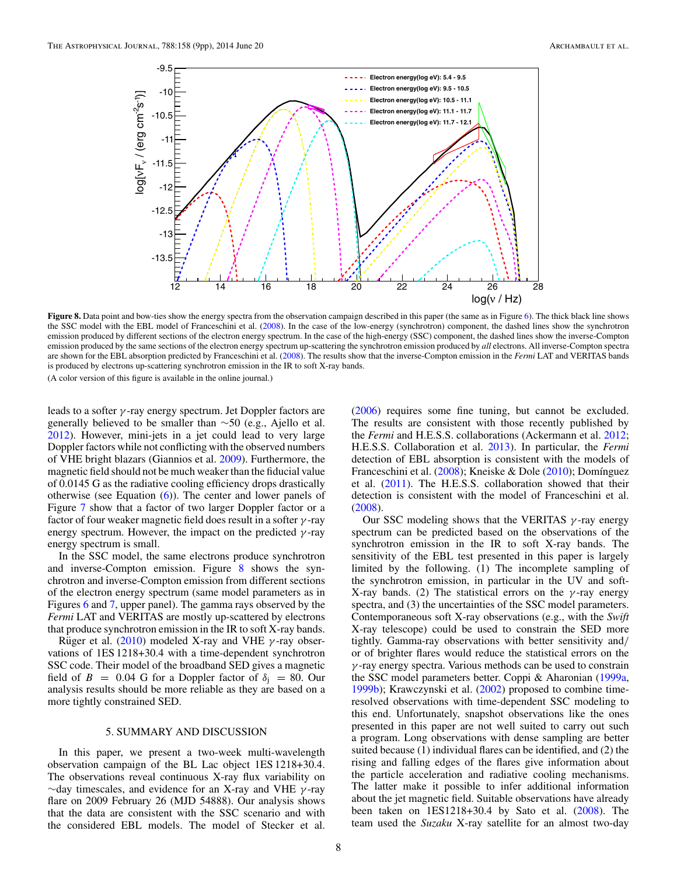<span id="page-8-0"></span>

**Figure 8.** Data point and bow-ties show the energy spectra from the observation campaign described in this paper (the same as in Figure [6\)](#page-6-0). The thick black line shows the SSC model with the EBL model of Franceschini et al. [\(2008\)](#page-9-0). In the case of the low-energy (synchrotron) component, the dashed lines show the synchrotron emission produced by different sections of the electron energy spectrum. In the case of the high-energy (SSC) component, the dashed lines show the inverse-Compton emission produced by the same sections of the electron energy spectrum up-scattering the synchrotron emission produced by *all* electrons. All inverse-Compton spectra are shown for the EBL absorption predicted by Franceschini et al. [\(2008\)](#page-9-0). The results show that the inverse-Compton emission in the *Fermi* LAT and VERITAS bands is produced by electrons up-scattering synchrotron emission in the IR to soft X-ray bands.

(A color version of this figure is available in the online journal.)

leads to a softer *γ* -ray energy spectrum. Jet Doppler factors are generally believed to be smaller than ∼50 (e.g., Ajello et al. [2012\)](#page-9-0). However, mini-jets in a jet could lead to very large Doppler factors while not conflicting with the observed numbers of VHE bright blazars (Giannios et al. [2009\)](#page-9-0). Furthermore, the magnetic field should not be much weaker than the fiducial value of 0.0145 G as the radiative cooling efficiency drops drastically otherwise (see Equation  $(6)$ ). The center and lower panels of Figure [7](#page-7-0) show that a factor of two larger Doppler factor or a factor of four weaker magnetic field does result in a softer *γ* -ray energy spectrum. However, the impact on the predicted  $\gamma$ -ray energy spectrum is small.

In the SSC model, the same electrons produce synchrotron and inverse-Compton emission. Figure 8 shows the synchrotron and inverse-Compton emission from different sections of the electron energy spectrum (same model parameters as in Figures [6](#page-6-0) and [7,](#page-7-0) upper panel). The gamma rays observed by the *Fermi* LAT and VERITAS are mostly up-scattered by electrons that produce synchrotron emission in the IR to soft X-ray bands.

Rüger et al.  $(2010)$  $(2010)$  modeled X-ray and VHE  $\gamma$ -ray observations of 1ES 1218+30.4 with a time-dependent synchrotron SSC code. Their model of the broadband SED gives a magnetic field of *B* = 0.04 G for a Doppler factor of  $\delta$ <sub>i</sub> = 80. Our analysis results should be more reliable as they are based on a more tightly constrained SED.

#### 5. SUMMARY AND DISCUSSION

In this paper, we present a two-week multi-wavelength observation campaign of the BL Lac object 1ES 1218+30.4. The observations reveal continuous X-ray flux variability on ∼day timescales, and evidence for an X-ray and VHE *γ* -ray flare on 2009 February 26 (MJD 54888). Our analysis shows that the data are consistent with the SSC scenario and with the considered EBL models. The model of Stecker et al.

[\(2006\)](#page-9-0) requires some fine tuning, but cannot be excluded. The results are consistent with those recently published by the *Fermi* and H.E.S.S. collaborations (Ackermann et al. [2012;](#page-9-0) H.E.S.S. Collaboration et al. [2013\)](#page-9-0). In particular, the *Fermi* detection of EBL absorption is consistent with the models of Franceschini et al. [\(2008\)](#page-9-0); Kneiske & Dole [\(2010\)](#page-9-0); Domínguez et al. [\(2011\)](#page-9-0). The H.E.S.S. collaboration showed that their detection is consistent with the model of Franceschini et al. [\(2008\)](#page-9-0).

Our SSC modeling shows that the VERITAS *γ* -ray energy spectrum can be predicted based on the observations of the synchrotron emission in the IR to soft X-ray bands. The sensitivity of the EBL test presented in this paper is largely limited by the following. (1) The incomplete sampling of the synchrotron emission, in particular in the UV and soft-X-ray bands. (2) The statistical errors on the *γ* -ray energy spectra, and (3) the uncertainties of the SSC model parameters. Contemporaneous soft X-ray observations (e.g., with the *Swift* X-ray telescope) could be used to constrain the SED more tightly. Gamma-ray observations with better sensitivity and*/* or of brighter flares would reduce the statistical errors on the *γ* -ray energy spectra. Various methods can be used to constrain the SSC model parameters better. Coppi & Aharonian [\(1999a,](#page-9-0) [1999b\)](#page-9-0); Krawczynski et al. [\(2002\)](#page-9-0) proposed to combine timeresolved observations with time-dependent SSC modeling to this end. Unfortunately, snapshot observations like the ones presented in this paper are not well suited to carry out such a program. Long observations with dense sampling are better suited because (1) individual flares can be identified, and (2) the rising and falling edges of the flares give information about the particle acceleration and radiative cooling mechanisms. The latter make it possible to infer additional information about the jet magnetic field. Suitable observations have already been taken on 1ES1218+30.4 by Sato et al. [\(2008\)](#page-9-0). The team used the *Suzaku* X-ray satellite for an almost two-day